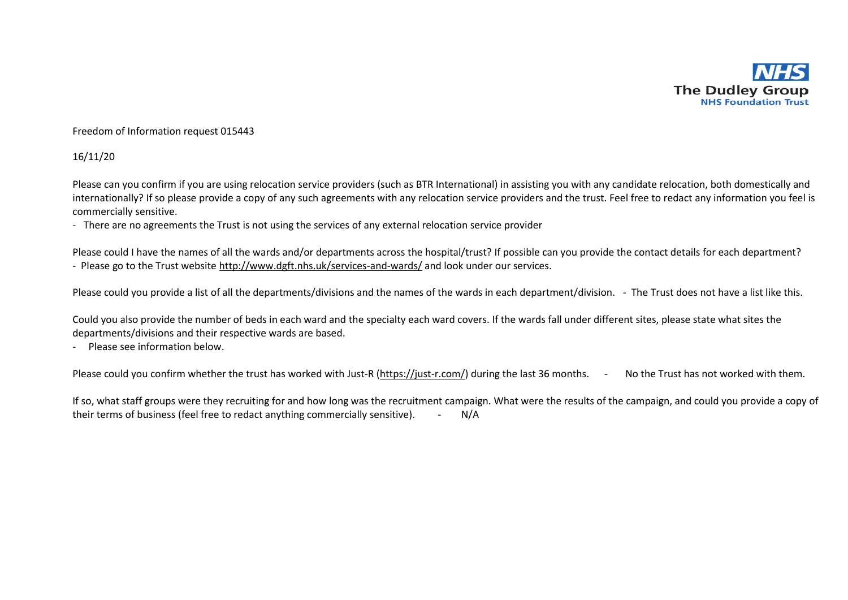

## Freedom of Information request 015443

## 16/11/20

Please can you confirm if you are using relocation service providers (such as BTR International) in assisting you with any candidate relocation, both domestically and internationally? If so please provide a copy of any such agreements with any relocation service providers and the trust. Feel free to redact any information you feel is commercially sensitive.

- There are no agreements the Trust is not using the services of any external relocation service provider

Please could I have the names of all the wards and/or departments across the hospital/trust? If possible can you provide the contact details for each department? - Please go to the Trust website<http://www.dgft.nhs.uk/services-and-wards/> and look under our services.

Please could you provide a list of all the departments/divisions and the names of the wards in each department/division. - The Trust does not have a list like this.

Could you also provide the number of beds in each ward and the specialty each ward covers. If the wards fall under different sites, please state what sites the departments/divisions and their respective wards are based.

- Please see information below.

Please could you confirm whether the trust has worked with Just-R [\(https://just-r.com/\)](https://just-r.com/) during the last 36 months. - No the Trust has not worked with them.

If so, what staff groups were they recruiting for and how long was the recruitment campaign. What were the results of the campaign, and could you provide a copy of their terms of business (feel free to redact anything commercially sensitive). - N/A